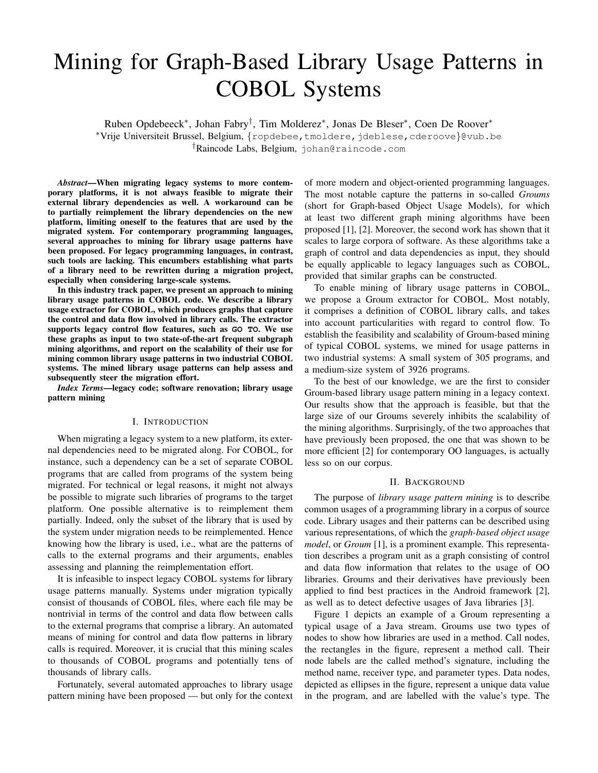# Mining for Graph-Based Library Usage Patterns in COBOL Systems

Ruben Opdebeeck<sup>∗</sup> , Johan Fabry† , Tim Molderez<sup>∗</sup> , Jonas De Bleser<sup>∗</sup> , Coen De Roover<sup>∗</sup>

<sup>∗</sup>Vrije Universiteit Brussel, Belgium, {ropdebee,tmoldere,jdeblese,cderoove}@vub.be †Raincode Labs, Belgium, johan@raincode.com

*Abstract*—When migrating legacy systems to more contemporary platforms, it is not always feasible to migrate their external library dependencies as well. A workaround can be to partially reimplement the library dependencies on the new platform, limiting oneself to the features that are used by the migrated system. For contemporary programming languages, several approaches to mining for library usage patterns have been proposed. For legacy programming languages, in contrast, such tools are lacking. This encumbers establishing what parts of a library need to be rewritten during a migration project, especially when considering large-scale systems.

In this industry track paper, we present an approach to mining library usage patterns in COBOL code. We describe a library usage extractor for COBOL, which produces graphs that capture the control and data flow involved in library calls. The extractor supports legacy control flow features, such as **GO TO**. We use these graphs as input to two state-of-the-art frequent subgraph mining algorithms, and report on the scalability of their use for mining common library usage patterns in two industrial COBOL systems. The mined library usage patterns can help assess and subsequently steer the migration effort.

*Index Terms*—legacy code; software renovation; library usage pattern mining

#### I. INTRODUCTION

When migrating a legacy system to a new platform, its external dependencies need to be migrated along. For COBOL, for instance, such a dependency can be a set of separate COBOL programs that are called from programs of the system being migrated. For technical or legal reasons, it might not always be possible to migrate such libraries of programs to the target platform. One possible alternative is to reimplement them partially. Indeed, only the subset of the library that is used by the system under migration needs to be reimplemented. Hence knowing how the library is used, i.e., what are the patterns of calls to the external programs and their arguments, enables assessing and planning the reimplementation effort.

It is infeasible to inspect legacy COBOL systems for library usage patterns manually. Systems under migration typically consist of thousands of COBOL files, where each file may be nontrivial in terms of the control and data flow between calls to the external programs that comprise a library. An automated means of mining for control and data flow patterns in library calls is required. Moreover, it is crucial that this mining scales to thousands of COBOL programs and potentially tens of thousands of library calls.

Fortunately, several automated approaches to library usage pattern mining have been proposed — but only for the context of more modern and object-oriented programming languages. The most notable capture the patterns in so-called *Groums* (short for Graph-based Object Usage Models), for which at least two different graph mining algorithms have been proposed [1], [2]. Moreover, the second work has shown that it scales to large corpora of software. As these algorithms take a graph of control and data dependencies as input, they should be equally applicable to legacy languages such as COBOL, provided that similar graphs can be constructed.

To enable mining of library usage patterns in COBOL, we propose a Groum extractor for COBOL. Most notably, it comprises a definition of COBOL library calls, and takes into account particularities with regard to control flow. To establish the feasibility and scalability of Groum-based mining of typical COBOL systems, we mined for usage patterns in two industrial systems: A small system of 305 programs, and a medium-size system of 3926 programs.

To the best of our knowledge, we are the first to consider Groum-based library usage pattern mining in a legacy context. Our results show that the approach is feasible, but that the large size of our Groums severely inhibits the scalability of the mining algorithms. Surprisingly, of the two approaches that have previously been proposed, the one that was shown to be more efficient [2] for contemporary OO languages, is actually less so on our corpus.

## II. BACKGROUND

The purpose of *library usage pattern mining* is to describe common usages of a programming library in a corpus of source code. Library usages and their patterns can be described using various representations, of which the *graph-based object usage model*, or *Groum* [1], is a prominent example. This representation describes a program unit as a graph consisting of control and data flow information that relates to the usage of OO libraries. Groums and their derivatives have previously been applied to find best practices in the Android framework [2], as well as to detect defective usages of Java libraries [3].

Figure 1 depicts an example of a Groum representing a typical usage of a Java stream. Groums use two types of nodes to show how libraries are used in a method. Call nodes, the rectangles in the figure, represent a method call. Their node labels are the called method's signature, including the method name, receiver type, and parameter types. Data nodes, depicted as ellipses in the figure, represent a unique data value in the program, and are labelled with the value's type. The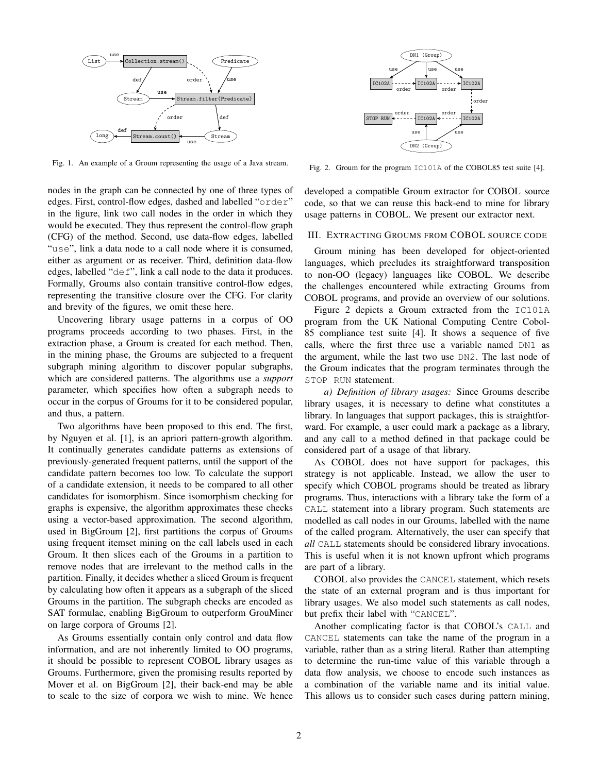

Fig. 1. An example of a Groum representing the usage of a Java stream.

nodes in the graph can be connected by one of three types of edges. First, control-flow edges, dashed and labelled "order" in the figure, link two call nodes in the order in which they would be executed. They thus represent the control-flow graph (CFG) of the method. Second, use data-flow edges, labelled "use", link a data node to a call node where it is consumed, either as argument or as receiver. Third, definition data-flow edges, labelled "def", link a call node to the data it produces. Formally, Groums also contain transitive control-flow edges, representing the transitive closure over the CFG. For clarity and brevity of the figures, we omit these here.

Uncovering library usage patterns in a corpus of OO programs proceeds according to two phases. First, in the extraction phase, a Groum is created for each method. Then, in the mining phase, the Groums are subjected to a frequent subgraph mining algorithm to discover popular subgraphs, which are considered patterns. The algorithms use a *support* parameter, which specifies how often a subgraph needs to occur in the corpus of Groums for it to be considered popular, and thus, a pattern.

Two algorithms have been proposed to this end. The first, by Nguyen et al. [1], is an apriori pattern-growth algorithm. It continually generates candidate patterns as extensions of previously-generated frequent patterns, until the support of the candidate pattern becomes too low. To calculate the support of a candidate extension, it needs to be compared to all other candidates for isomorphism. Since isomorphism checking for graphs is expensive, the algorithm approximates these checks using a vector-based approximation. The second algorithm, used in BigGroum [2], first partitions the corpus of Groums using frequent itemset mining on the call labels used in each Groum. It then slices each of the Groums in a partition to remove nodes that are irrelevant to the method calls in the partition. Finally, it decides whether a sliced Groum is frequent by calculating how often it appears as a subgraph of the sliced Groums in the partition. The subgraph checks are encoded as SAT formulae, enabling BigGroum to outperform GrouMiner on large corpora of Groums [2].

As Groums essentially contain only control and data flow information, and are not inherently limited to OO programs, it should be possible to represent COBOL library usages as Groums. Furthermore, given the promising results reported by Mover et al. on BigGroum [2], their back-end may be able to scale to the size of corpora we wish to mine. We hence



Fig. 2. Groum for the program IC101A of the COBOL85 test suite [4].

developed a compatible Groum extractor for COBOL source code, so that we can reuse this back-end to mine for library usage patterns in COBOL. We present our extractor next.

#### III. EXTRACTING GROUMS FROM COBOL SOURCE CODE

Groum mining has been developed for object-oriented languages, which precludes its straightforward transposition to non-OO (legacy) languages like COBOL. We describe the challenges encountered while extracting Groums from COBOL programs, and provide an overview of our solutions.

Figure 2 depicts a Groum extracted from the IC101A program from the UK National Computing Centre Cobol-85 compliance test suite [4]. It shows a sequence of five calls, where the first three use a variable named DN1 as the argument, while the last two use DN2. The last node of the Groum indicates that the program terminates through the STOP RUN statement.

*a) Definition of library usages:* Since Groums describe library usages, it is necessary to define what constitutes a library. In languages that support packages, this is straightforward. For example, a user could mark a package as a library, and any call to a method defined in that package could be considered part of a usage of that library.

As COBOL does not have support for packages, this strategy is not applicable. Instead, we allow the user to specify which COBOL programs should be treated as library programs. Thus, interactions with a library take the form of a CALL statement into a library program. Such statements are modelled as call nodes in our Groums, labelled with the name of the called program. Alternatively, the user can specify that *all* CALL statements should be considered library invocations. This is useful when it is not known upfront which programs are part of a library.

COBOL also provides the CANCEL statement, which resets the state of an external program and is thus important for library usages. We also model such statements as call nodes, but prefix their label with "CANCEL".

Another complicating factor is that COBOL's CALL and CANCEL statements can take the name of the program in a variable, rather than as a string literal. Rather than attempting to determine the run-time value of this variable through a data flow analysis, we choose to encode such instances as a combination of the variable name and its initial value. This allows us to consider such cases during pattern mining,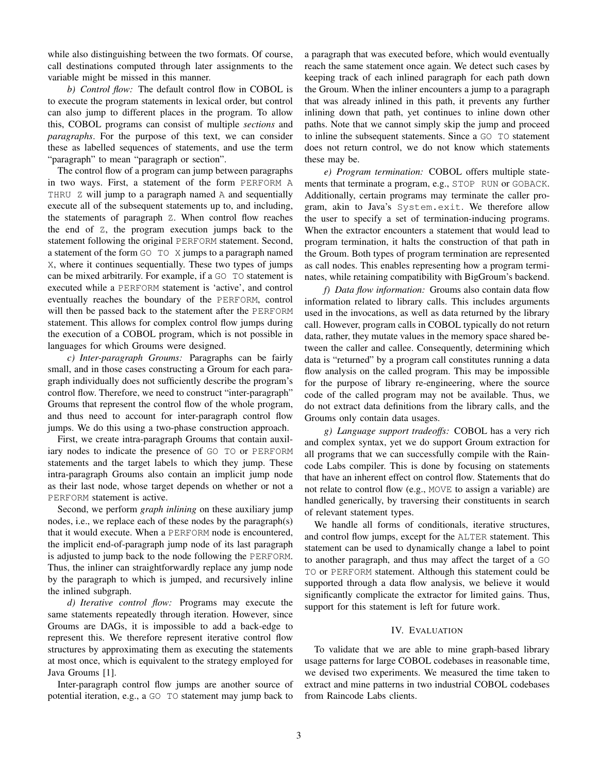while also distinguishing between the two formats. Of course, call destinations computed through later assignments to the variable might be missed in this manner.

*b) Control flow:* The default control flow in COBOL is to execute the program statements in lexical order, but control can also jump to different places in the program. To allow this, COBOL programs can consist of multiple *sections* and *paragraphs*. For the purpose of this text, we can consider these as labelled sequences of statements, and use the term "paragraph" to mean "paragraph or section".

The control flow of a program can jump between paragraphs in two ways. First, a statement of the form PERFORM A THRU Z will jump to a paragraph named A and sequentially execute all of the subsequent statements up to, and including, the statements of paragraph Z. When control flow reaches the end of Z, the program execution jumps back to the statement following the original PERFORM statement. Second, a statement of the form GO TO X jumps to a paragraph named X, where it continues sequentially. These two types of jumps can be mixed arbitrarily. For example, if a GO TO statement is executed while a PERFORM statement is 'active', and control eventually reaches the boundary of the PERFORM, control will then be passed back to the statement after the PERFORM statement. This allows for complex control flow jumps during the execution of a COBOL program, which is not possible in languages for which Groums were designed.

*c) Inter-paragraph Groums:* Paragraphs can be fairly small, and in those cases constructing a Groum for each paragraph individually does not sufficiently describe the program's control flow. Therefore, we need to construct "inter-paragraph" Groums that represent the control flow of the whole program, and thus need to account for inter-paragraph control flow jumps. We do this using a two-phase construction approach.

First, we create intra-paragraph Groums that contain auxiliary nodes to indicate the presence of GO TO or PERFORM statements and the target labels to which they jump. These intra-paragraph Groums also contain an implicit jump node as their last node, whose target depends on whether or not a PERFORM statement is active.

Second, we perform *graph inlining* on these auxiliary jump nodes, i.e., we replace each of these nodes by the paragraph(s) that it would execute. When a PERFORM node is encountered, the implicit end-of-paragraph jump node of its last paragraph is adjusted to jump back to the node following the PERFORM. Thus, the inliner can straightforwardly replace any jump node by the paragraph to which is jumped, and recursively inline the inlined subgraph.

*d) Iterative control flow:* Programs may execute the same statements repeatedly through iteration. However, since Groums are DAGs, it is impossible to add a back-edge to represent this. We therefore represent iterative control flow structures by approximating them as executing the statements at most once, which is equivalent to the strategy employed for Java Groums [1].

Inter-paragraph control flow jumps are another source of potential iteration, e.g., a GO TO statement may jump back to

a paragraph that was executed before, which would eventually reach the same statement once again. We detect such cases by keeping track of each inlined paragraph for each path down the Groum. When the inliner encounters a jump to a paragraph that was already inlined in this path, it prevents any further inlining down that path, yet continues to inline down other paths. Note that we cannot simply skip the jump and proceed to inline the subsequent statements. Since a GO TO statement does not return control, we do not know which statements these may be.

*e) Program termination:* COBOL offers multiple statements that terminate a program, e.g., STOP RUN or GOBACK. Additionally, certain programs may terminate the caller program, akin to Java's System.exit. We therefore allow the user to specify a set of termination-inducing programs. When the extractor encounters a statement that would lead to program termination, it halts the construction of that path in the Groum. Both types of program termination are represented as call nodes. This enables representing how a program terminates, while retaining compatibility with BigGroum's backend.

*f) Data flow information:* Groums also contain data flow information related to library calls. This includes arguments used in the invocations, as well as data returned by the library call. However, program calls in COBOL typically do not return data, rather, they mutate values in the memory space shared between the caller and callee. Consequently, determining which data is "returned" by a program call constitutes running a data flow analysis on the called program. This may be impossible for the purpose of library re-engineering, where the source code of the called program may not be available. Thus, we do not extract data definitions from the library calls, and the Groums only contain data usages.

*g) Language support tradeoffs:* COBOL has a very rich and complex syntax, yet we do support Groum extraction for all programs that we can successfully compile with the Raincode Labs compiler. This is done by focusing on statements that have an inherent effect on control flow. Statements that do not relate to control flow (e.g., MOVE to assign a variable) are handled generically, by traversing their constituents in search of relevant statement types.

We handle all forms of conditionals, iterative structures, and control flow jumps, except for the ALTER statement. This statement can be used to dynamically change a label to point to another paragraph, and thus may affect the target of a GO TO or PERFORM statement. Although this statement could be supported through a data flow analysis, we believe it would significantly complicate the extractor for limited gains. Thus, support for this statement is left for future work.

## IV. EVALUATION

To validate that we are able to mine graph-based library usage patterns for large COBOL codebases in reasonable time, we devised two experiments. We measured the time taken to extract and mine patterns in two industrial COBOL codebases from Raincode Labs clients.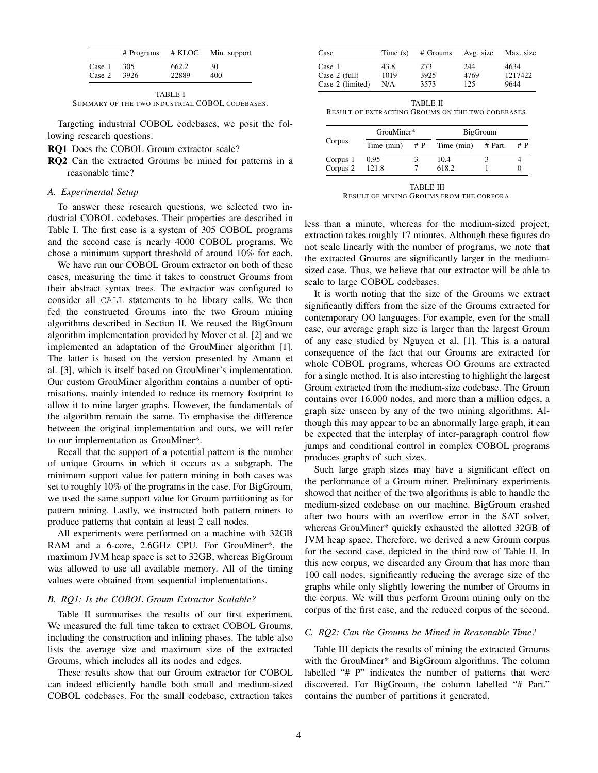|        | # Programs | # KLOC | Min. support |
|--------|------------|--------|--------------|
| Case 1 | 305        | 662.2  | 30           |
| Case 2 | 3926       | 22889  | 400          |

TABLE I SUMMARY OF THE TWO INDUSTRIAL COBOL CODEBASES.

Targeting industrial COBOL codebases, we posit the following research questions:

- RQ1 Does the COBOL Groum extractor scale?
- RQ2 Can the extracted Groums be mined for patterns in a reasonable time?

## *A. Experimental Setup*

To answer these research questions, we selected two industrial COBOL codebases. Their properties are described in Table I. The first case is a system of 305 COBOL programs and the second case is nearly 4000 COBOL programs. We chose a minimum support threshold of around 10% for each.

We have run our COBOL Groum extractor on both of these cases, measuring the time it takes to construct Groums from their abstract syntax trees. The extractor was configured to consider all CALL statements to be library calls. We then fed the constructed Groums into the two Groum mining algorithms described in Section II. We reused the BigGroum algorithm implementation provided by Mover et al. [2] and we implemented an adaptation of the GrouMiner algorithm [1]. The latter is based on the version presented by Amann et al. [3], which is itself based on GrouMiner's implementation. Our custom GrouMiner algorithm contains a number of optimisations, mainly intended to reduce its memory footprint to allow it to mine larger graphs. However, the fundamentals of the algorithm remain the same. To emphasise the difference between the original implementation and ours, we will refer to our implementation as GrouMiner\*.

Recall that the support of a potential pattern is the number of unique Groums in which it occurs as a subgraph. The minimum support value for pattern mining in both cases was set to roughly 10% of the programs in the case. For BigGroum, we used the same support value for Groum partitioning as for pattern mining. Lastly, we instructed both pattern miners to produce patterns that contain at least 2 call nodes.

All experiments were performed on a machine with 32GB RAM and a 6-core, 2.6GHz CPU. For GrouMiner\*, the maximum JVM heap space is set to 32GB, whereas BigGroum was allowed to use all available memory. All of the timing values were obtained from sequential implementations.

#### *B. RQ1: Is the COBOL Groum Extractor Scalable?*

Table II summarises the results of our first experiment. We measured the full time taken to extract COBOL Groums, including the construction and inlining phases. The table also lists the average size and maximum size of the extracted Groums, which includes all its nodes and edges.

These results show that our Groum extractor for COBOL can indeed efficiently handle both small and medium-sized COBOL codebases. For the small codebase, extraction takes

| Case             | Time $(s)$ | # Groums | Avg. size | Max. size |  |
|------------------|------------|----------|-----------|-----------|--|
| Case 1           | 43.8       | 273      | 244       | 4634      |  |
| Case $2$ (full)  | 1019       | 3925     | 4769      | 1217422   |  |
| Case 2 (limited) | N/A        | 3573     | 125       | 9644      |  |

TABLE II RESULT OF EXTRACTING GROUMS ON THE TWO CODEBASES.

| Corpus   | GrouMiner*         |  | <b>BigGroum</b> |         |       |
|----------|--------------------|--|-----------------|---------|-------|
|          | Time $(min)$ # $P$ |  | Time (min)      | # Part. | # $P$ |
| Corpus 1 | 0.95               |  | 10.4            |         |       |
| Corpus 2 | 121.8              |  | 618.2           |         |       |

TABLE III RESULT OF MINING GROUMS FROM THE CORPORA.

less than a minute, whereas for the medium-sized project, extraction takes roughly 17 minutes. Although these figures do not scale linearly with the number of programs, we note that the extracted Groums are significantly larger in the mediumsized case. Thus, we believe that our extractor will be able to scale to large COBOL codebases.

It is worth noting that the size of the Groums we extract significantly differs from the size of the Groums extracted for contemporary OO languages. For example, even for the small case, our average graph size is larger than the largest Groum of any case studied by Nguyen et al. [1]. This is a natural consequence of the fact that our Groums are extracted for whole COBOL programs, whereas OO Groums are extracted for a single method. It is also interesting to highlight the largest Groum extracted from the medium-size codebase. The Groum contains over 16.000 nodes, and more than a million edges, a graph size unseen by any of the two mining algorithms. Although this may appear to be an abnormally large graph, it can be expected that the interplay of inter-paragraph control flow jumps and conditional control in complex COBOL programs produces graphs of such sizes.

Such large graph sizes may have a significant effect on the performance of a Groum miner. Preliminary experiments showed that neither of the two algorithms is able to handle the medium-sized codebase on our machine. BigGroum crashed after two hours with an overflow error in the SAT solver, whereas GrouMiner\* quickly exhausted the allotted 32GB of JVM heap space. Therefore, we derived a new Groum corpus for the second case, depicted in the third row of Table II. In this new corpus, we discarded any Groum that has more than 100 call nodes, significantly reducing the average size of the graphs while only slightly lowering the number of Groums in the corpus. We will thus perform Groum mining only on the corpus of the first case, and the reduced corpus of the second.

#### *C. RQ2: Can the Groums be Mined in Reasonable Time?*

Table III depicts the results of mining the extracted Groums with the GrouMiner\* and BigGroum algorithms. The column labelled "# P" indicates the number of patterns that were discovered. For BigGroum, the column labelled "# Part." contains the number of partitions it generated.